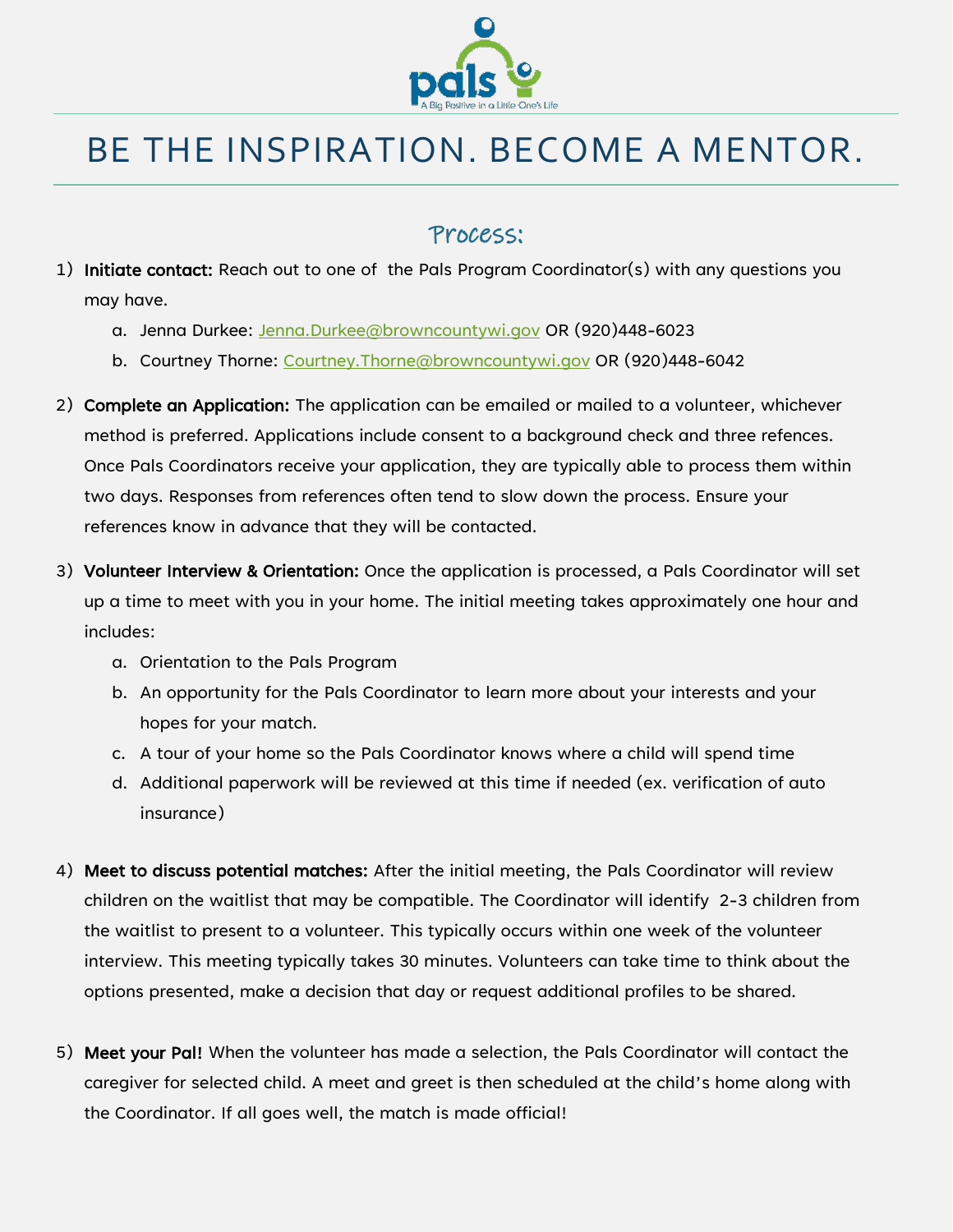

# BE THE INSPIRATION. BECOME A MENTOR.

### Process:

- 1) Initiate contact: Reach out to one of the Pals Program Coordinator(s) with any questions you may have.
	- a. Jenna Durkee: [Jenna.Durkee@browncountywi.gov](mailto:Jenna.Durkee@browncountywi.gov) OR (920)448-6023
	- b. Courtney Thorne: [Courtney.Thorne@browncountywi.gov](mailto:Courtney.Thorne@browncountywi.gov) OR (920)448-6042
- 2) Complete an Application: The application can be emailed or mailed to a volunteer, whichever method is preferred. Applications include consent to a background check and three refences. Once Pals Coordinators receive your application, they are typically able to process them within two days. Responses from references often tend to slow down the process. Ensure your references know in advance that they will be contacted.
- 3) Volunteer Interview & Orientation: Once the application is processed, a Pals Coordinator will set up a time to meet with you in your home. The initial meeting takes approximately one hour and includes:
	- a. Orientation to the Pals Program
	- b. An opportunity for the Pals Coordinator to learn more about your interests and your hopes for your match.
	- c. A tour of your home so the Pals Coordinator knows where a child will spend time
	- d. Additional paperwork will be reviewed at this time if needed (ex. verification of auto insurance)
- 4) Meet to discuss potential matches: After the initial meeting, the Pals Coordinator will review children on the waitlist that may be compatible. The Coordinator will identify 2-3 children from the waitlist to present to a volunteer. This typically occurs within one week of the volunteer interview. This meeting typically takes 30 minutes. Volunteers can take time to think about the options presented, make a decision that day or request additional profiles to be shared.
- 5) Meet your Pal! When the volunteer has made a selection, the Pals Coordinator will contact the caregiver for selected child. A meet and greet is then scheduled at the child's home along with the Coordinator. If all goes well, the match is made official!